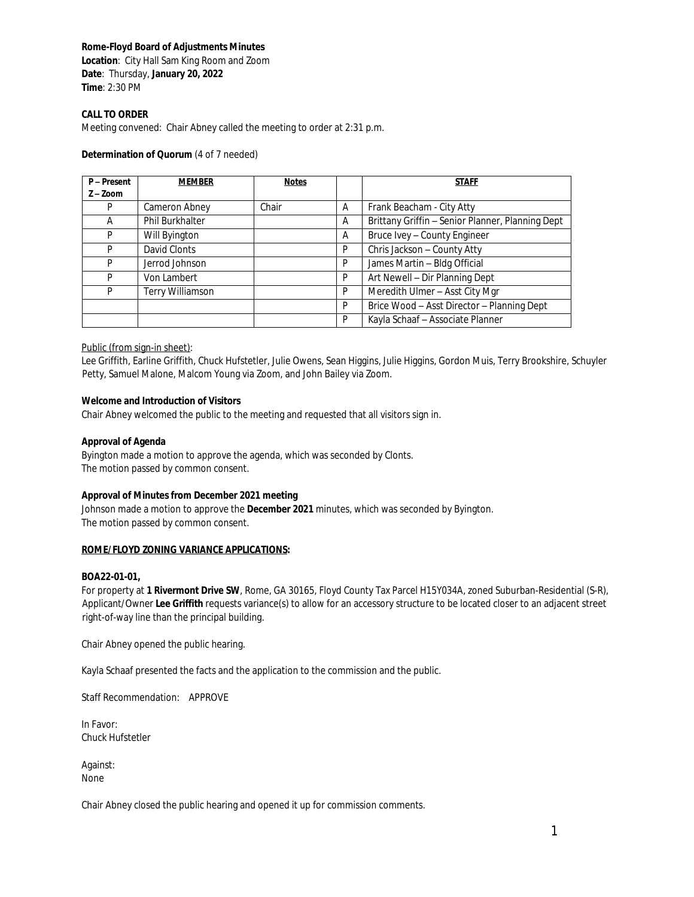## **Rome-Floyd Board of Adjustments Minutes**

**Location**: City Hall Sam King Room and Zoom **Date**: Thursday, **January 20, 2022 Time**: 2:30 PM

## **CALL TO ORDER**

Meeting convened: Chair Abney called the meeting to order at 2:31 p.m.

#### **Determination of Quorum** (4 of 7 needed)

| P-Present  | <b>MEMBER</b>    | <b>Notes</b> |   | <b>STAFF</b>                                     |
|------------|------------------|--------------|---|--------------------------------------------------|
| $Z - Zoom$ |                  |              |   |                                                  |
| P          | Cameron Abney    | Chair        | A | Frank Beacham - City Atty                        |
| A          | Phil Burkhalter  |              | A | Brittany Griffin - Senior Planner, Planning Dept |
| P          | Will Byington    |              | A | Bruce Ivey - County Engineer                     |
| P          | David Clonts     |              | P | Chris Jackson - County Atty                      |
| P          | Jerrod Johnson   |              | P | James Martin - Bldg Official                     |
| P          | Von Lambert      |              | P | Art Newell - Dir Planning Dept                   |
| P          | Terry Williamson |              | P | Meredith Ulmer - Asst City Mgr                   |
|            |                  |              | P | Brice Wood - Asst Director - Planning Dept       |
|            |                  |              | P | Kayla Schaaf - Associate Planner                 |

### Public (from sign-in sheet):

Lee Griffith, Earline Griffith, Chuck Hufstetler, Julie Owens, Sean Higgins, Julie Higgins, Gordon Muis, Terry Brookshire, Schuyler Petty, Samuel Malone, Malcom Young via Zoom, and John Bailey via Zoom.

### **Welcome and Introduction of Visitors**

Chair Abney welcomed the public to the meeting and requested that all visitors sign in.

#### **Approval of Agenda**

Byington made a motion to approve the agenda, which was seconded by Clonts. The motion passed by common consent.

### **Approval of Minutes from December 2021 meeting**

Johnson made a motion to approve the **December 2021** minutes, which was seconded by Byington. The motion passed by common consent.

#### **ROME/FLOYD ZONING VARIANCE APPLICATIONS:**

#### **BOA22-01-01,**

For property at **1 Rivermont Drive SW**, Rome, GA 30165, Floyd County Tax Parcel H15Y034A, zoned Suburban-Residential (S-R), Applicant/Owner **Lee Griffith** requests variance(s) to allow for an accessory structure to be located closer to an adjacent street right-of-way line than the principal building.

Chair Abney opened the public hearing.

Kayla Schaaf presented the facts and the application to the commission and the public.

Staff Recommendation: APPROVE

In Favor: Chuck Hufstetler

Against: None

Chair Abney closed the public hearing and opened it up for commission comments.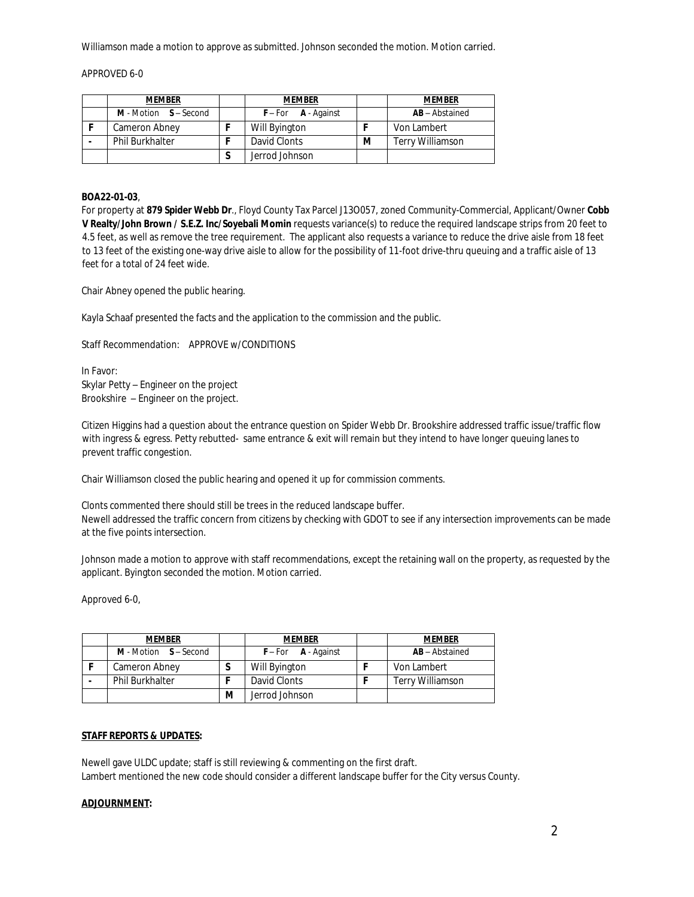Williamson made a motion to approve as submitted. Johnson seconded the motion. Motion carried.

APPROVED 6-0

| <b>MEMBER</b>            |  | <b>MEMBER</b>           |   | <b>MEMBER</b>           |
|--------------------------|--|-------------------------|---|-------------------------|
| $M$ - Motion $S-$ Second |  | $F$ – For $A$ - Against |   | <b>AB</b> – Abstained   |
| Cameron Abney            |  | Will Byington           |   | Von Lambert             |
| <b>Phil Burkhalter</b>   |  | David Clonts            | м | <b>Terry Williamson</b> |
|                          |  | Jerrod Johnson          |   |                         |

### **BOA22-01-03**,

For property at **879 Spider Webb Dr**., Floyd County Tax Parcel J13O057, zoned Community-Commercial, Applicant/Owner **Cobb V Realty/John Brown / S.E.Z. Inc/Soyebali Momin** requests variance(s) to reduce the required landscape strips from 20 feet to 4.5 feet, as well as remove the tree requirement. The applicant also requests a variance to reduce the drive aisle from 18 feet to 13 feet of the existing one-way drive aisle to allow for the possibility of 11-foot drive-thru queuing and a traffic aisle of 13 feet for a total of 24 feet wide.

Chair Abney opened the public hearing.

Kayla Schaaf presented the facts and the application to the commission and the public.

Staff Recommendation: APPROVE w/CONDITIONS

In Favor: Skylar Petty – Engineer on the project Brookshire – Engineer on the project.

Citizen Higgins had a question about the entrance question on Spider Webb Dr. Brookshire addressed traffic issue/traffic flow with ingress & egress. Petty rebutted- same entrance & exit will remain but they intend to have longer queuing lanes to prevent traffic congestion.

Chair Williamson closed the public hearing and opened it up for commission comments.

Clonts commented there should still be trees in the reduced landscape buffer. Newell addressed the traffic concern from citizens by checking with GDOT to see if any intersection improvements can be made at the five points intersection.

Johnson made a motion to approve with staff recommendations, except the retaining wall on the property, as requested by the applicant. Byington seconded the motion. Motion carried.

Approved 6-0,

| <b>MEMBER</b>                  |   | <b>MEMBER</b>           | <b>MEMBER</b>           |
|--------------------------------|---|-------------------------|-------------------------|
| <b>M</b> - Motion $S -$ Second |   | $F$ – For $A$ - Against | <b>AB</b> – Abstained   |
| Cameron Abney                  | a | Will Byington           | Von Lambert             |
| <b>Phil Burkhalter</b>         |   | David Clonts            | <b>Terry Williamson</b> |
|                                | м | Jerrod Johnson          |                         |

# **STAFF REPORTS & UPDATES:**

Newell gave ULDC update; staff is still reviewing & commenting on the first draft. Lambert mentioned the new code should consider a different landscape buffer for the City versus County.

#### **ADJOURNMENT:**